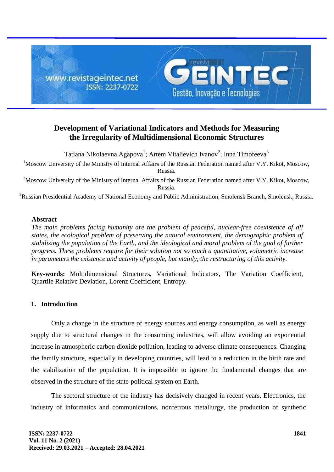

# **Development of Variational Indicators and Methods for Measuring the Irregularity of Multidimensional Economic Structures**

Tatiana Nikolaevna Agapova<sup>1</sup>; Artem Vitalievich Ivanov<sup>2</sup>; Inna Timofeeva<sup>3</sup>

<sup>1</sup>Moscow University of the Ministry of Internal Affairs of the Russian Federation named after V.Y. Kikot, Moscow, Russia.

<sup>2</sup>Moscow University of the Ministry of Internal Affairs of the Russian Federation named after V.Y. Kikot, Moscow, Russia.

<sup>3</sup>Russian Presidential Academy of National Economy and Public Administration, Smolensk Branch, Smolensk, Russia.

## **Abstract**

*The main problems facing humanity are the problem of peaceful, nuclear-free coexistence of all states, the ecological problem of preserving the natural environment, the demographic problem of stabilizing the population of the Earth, and the ideological and moral problem of the goal of further progress. These problems require for their solution not so much a quantitative, volumetric increase in parameters the existence and activity of people, but mainly, the restructuring of this activity.*

**Key-words:** Multidimensional Structures, Variational Indicators, The Variation Coefficient, Quartile Relative Deviation, Lorenz Coefficient, Entropy.

# **1. Introduction**

Only a change in the structure of energy sources and energy consumption, as well as energy supply due to structural changes in the consuming industries, will allow avoiding an exponential increase in atmospheric carbon dioxide pollution, leading to adverse climate consequences. Changing the family structure, especially in developing countries, will lead to a reduction in the birth rate and the stabilization of the population. It is impossible to ignore the fundamental changes that are observed in the structure of the state-political system on Earth.

The sectoral structure of the industry has decisively changed in recent years. Electronics, the industry of informatics and communications, nonferrous metallurgy, the production of synthetic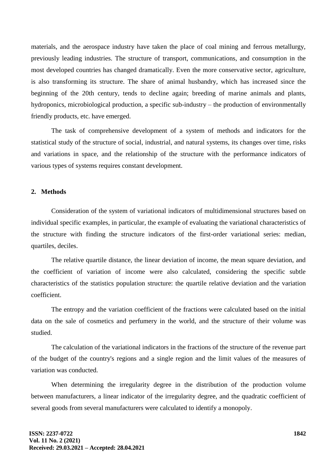materials, and the aerospace industry have taken the place of coal mining and ferrous metallurgy, previously leading industries. The structure of transport, communications, and consumption in the most developed countries has changed dramatically. Even the more conservative sector, agriculture, is also transforming its structure. The share of animal husbandry, which has increased since the beginning of the 20th century, tends to decline again; breeding of marine animals and plants, hydroponics, microbiological production, a specific sub-industry – the production of environmentally friendly products, etc. have emerged.

The task of comprehensive development of a system of methods and indicators for the statistical study of the structure of social, industrial, and natural systems, its changes over time, risks and variations in space, and the relationship of the structure with the performance indicators of various types of systems requires constant development.

## **2. Methods**

Consideration of the system of variational indicators of multidimensional structures based on individual specific examples, in particular, the example of evaluating the variational characteristics of the structure with finding the structure indicators of the first-order variational series: median, quartiles, deciles.

The relative quartile distance, the linear deviation of income, the mean square deviation, and the coefficient of variation of income were also calculated, considering the specific subtle characteristics of the statistics population structure: the quartile relative deviation and the variation coefficient.

The entropy and the variation coefficient of the fractions were calculated based on the initial data on the sale of cosmetics and perfumery in the world, and the structure of their volume was studied.

The calculation of the variational indicators in the fractions of the structure of the revenue part of the budget of the country's regions and a single region and the limit values of the measures of variation was conducted.

When determining the irregularity degree in the distribution of the production volume between manufacturers, a linear indicator of the irregularity degree, and the quadratic coefficient of several goods from several manufacturers were calculated to identify a monopoly.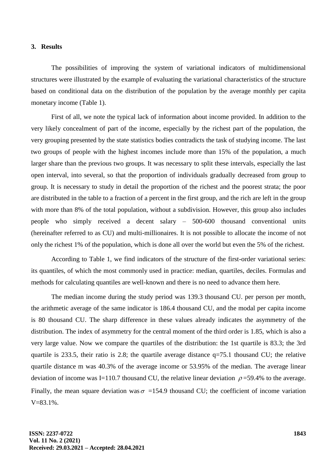#### **3. Results**

The possibilities of improving the system of variational indicators of multidimensional structures were illustrated by the example of evaluating the variational characteristics of the structure based on conditional data on the distribution of the population by the average monthly per capita monetary income (Table 1).

First of all, we note the typical lack of information about income provided. In addition to the very likely concealment of part of the income, especially by the richest part of the population, the very grouping presented by the state statistics bodies contradicts the task of studying income. The last two groups of people with the highest incomes include more than 15% of the population, a much larger share than the previous two groups. It was necessary to split these intervals, especially the last open interval, into several, so that the proportion of individuals gradually decreased from group to group. It is necessary to study in detail the proportion of the richest and the poorest strata; the poor are distributed in the table to a fraction of a percent in the first group, and the rich are left in the group with more than 8% of the total population, without a subdivision. However, this group also includes people who simply received a decent salary – 500-600 thousand conventional units (hereinafter referred to as CU) and multi-millionaires. It is not possible to allocate the income of not only the richest 1% of the population, which is done all over the world but even the 5% of the richest.

According to Table 1, we find indicators of the structure of the first-order variational series: its quantiles, of which the most commonly used in practice: median, quartiles, deciles. Formulas and methods for calculating quantiles are well-known and there is no need to advance them here.

The median income during the study period was 139.3 thousand CU. per person per month, the arithmetic average of the same indicator is 186.4 thousand CU, and the modal per capita income is 80 thousand CU. The sharp difference in these values already indicates the asymmetry of the distribution. The index of asymmetry for the central moment of the third order is 1.85, which is also a very large value. Now we compare the quartiles of the distribution: the 1st quartile is 83.3; the 3rd quartile is 233.5, their ratio is 2.8; the quartile average distance q=75.1 thousand CU; the relative quartile distance m was 40.3% of the average income or 53.95% of the median. The average linear deviation of income was I=110.7 thousand CU, the relative linear deviation  $\rho$ =59.4% to the average. Finally, the mean square deviation was  $\sigma$  =154.9 thousand CU; the coefficient of income variation  $V=83.1\%$ .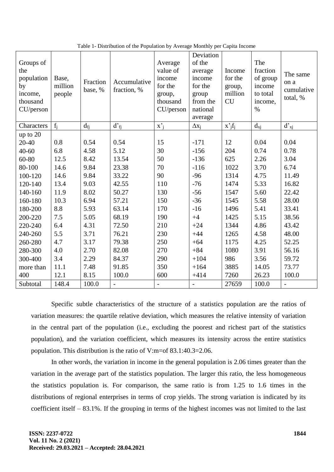| Groups of<br>the<br>population<br>by<br>income,<br>thousand<br>CU/person | Base,<br>million<br>people | Fraction<br>base, % | Accumulative<br>fraction, % | Average<br>value of<br>income<br>for the<br>group,<br>thousand<br>CU/person | Deviation<br>of the<br>average<br>income<br>for the<br>group<br>from the<br>national<br>average | Income<br>for the<br>group,<br>million<br><b>CU</b> | The<br>fraction<br>of group<br>income<br>to total<br>income,<br>$\%$ | The same<br>on a<br>cumulative<br>total, % |
|--------------------------------------------------------------------------|----------------------------|---------------------|-----------------------------|-----------------------------------------------------------------------------|-------------------------------------------------------------------------------------------------|-----------------------------------------------------|----------------------------------------------------------------------|--------------------------------------------|
| Characters                                                               | $f_i$                      | $d_{fi}$            | $d'_{fi}$                   | $\mathbf{x'}_i$                                                             | $\Delta x_i$                                                                                    | $x^{\prime}{}_{j}f_{j}$                             | $d_{xj}$                                                             | $d'_{xj}$                                  |
| up to 20                                                                 |                            |                     |                             |                                                                             |                                                                                                 |                                                     |                                                                      |                                            |
| 20-40                                                                    | 0.8                        | 0.54                | 0.54                        | 15                                                                          | $-171$                                                                                          | 12                                                  | 0.04                                                                 | 0.04                                       |
| $40 - 60$                                                                | 6.8                        | 4.58                | 5.12                        | 30                                                                          | $-156$                                                                                          | 204                                                 | 0.74                                                                 | 0.78                                       |
| 60-80                                                                    | 12.5                       | 8.42                | 13.54                       | 50                                                                          | $-136$                                                                                          | 625                                                 | 2.26                                                                 | 3.04                                       |
| 80-100                                                                   | 14.6                       | 9.84                | 23.38                       | 70                                                                          | $-116$                                                                                          | 1022                                                | 3.70                                                                 | 6.74                                       |
| 100-120                                                                  | 14.6                       | 9.84                | 33.22                       | 90                                                                          | $-96$                                                                                           | 1314                                                | 4.75                                                                 | 11.49                                      |
| 120-140                                                                  | 13.4                       | 9.03                | 42.55                       | 110                                                                         | $-76$                                                                                           | 1474                                                | 5.33                                                                 | 16.82                                      |
| 140-160                                                                  | 11.9                       | 8.02                | 50.27                       | 130                                                                         | $-56$                                                                                           | 1547                                                | 5.60                                                                 | 22.42                                      |
| 160-180                                                                  | 10.3                       | 6.94                | 57.21                       | 150                                                                         | $-36$                                                                                           | 1545                                                | 5.58                                                                 | 28.00                                      |
| 180-200                                                                  | 8.8                        | 5.93                | 63.14                       | 170                                                                         | $-16$                                                                                           | 1496                                                | 5.41                                                                 | 33.41                                      |
| 200-220                                                                  | 7.5                        | 5.05                | 68.19                       | 190                                                                         | $+4$                                                                                            | 1425                                                | 5.15                                                                 | 38.56                                      |
| 220-240                                                                  | 6.4                        | 4.31                | 72.50                       | 210                                                                         | $+24$                                                                                           | 1344                                                | 4.86                                                                 | 43.42                                      |
| 240-260                                                                  | 5.5                        | 3.71                | 76.21                       | 230                                                                         | $+44$                                                                                           | 1265                                                | 4.58                                                                 | 48.00                                      |
| 260-280                                                                  | 4.7                        | 3.17                | 79.38                       | 250                                                                         | $+64$                                                                                           | 1175                                                | 4.25                                                                 | 52.25                                      |
| 280-300                                                                  | 4.0                        | 2.70                | 82.08                       | 270                                                                         | $+84$                                                                                           | 1080                                                | 3.91                                                                 | 56.16                                      |
| 300-400                                                                  | 3.4                        | 2.29                | 84.37                       | 290                                                                         | $+104$                                                                                          | 986                                                 | 3.56                                                                 | 59.72                                      |
| more than                                                                | 11.1                       | 7.48                | 91.85                       | 350                                                                         | $+164$                                                                                          | 3885                                                | 14.05                                                                | 73.77                                      |
| 400                                                                      | 12.1                       | 8.15                | 100.0                       | 600                                                                         | $+414$                                                                                          | 7260                                                | 26.23                                                                | 100.0                                      |
| Subtotal                                                                 | 148.4                      | 100.0               | $\overline{\phantom{m}}$    | $\overline{a}$                                                              | $\overline{\phantom{a}}$                                                                        | 27659                                               | 100.0                                                                | $\overline{\phantom{a}}$                   |

Table 1- Distribution of the Population by Average Monthly per Capita Income

Specific subtle characteristics of the structure of a statistics population are the ratios of variation measures: the quartile relative deviation, which measures the relative intensity of variation in the central part of the population (i.e., excluding the poorest and richest part of the statistics population), and the variation coefficient, which measures its intensity across the entire statistics population. This distribution is the ratio of V:m=of 83.1:40.3=2.06.

In other words, the variation in income in the general population is 2.06 times greater than the variation in the average part of the statistics population. The larger this ratio, the less homogeneous the statistics population is. For comparison, the same ratio is from 1.25 to 1.6 times in the distributions of regional enterprises in terms of crop yields. The strong variation is indicated by its coefficient itself – 83.1%. If the grouping in terms of the highest incomes was not limited to the last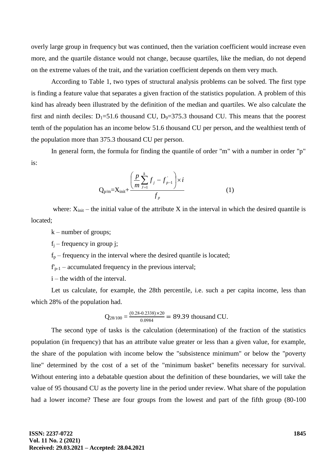overly large group in frequency but was continued, then the variation coefficient would increase even more, and the quartile distance would not change, because quartiles, like the median, do not depend on the extreme values of the trait, and the variation coefficient depends on them very much.

According to Table 1, two types of structural analysis problems can be solved. The first type is finding a feature value that separates a given fraction of the statistics population. A problem of this kind has already been illustrated by the definition of the median and quartiles. We also calculate the first and ninth deciles:  $D_1 = 51.6$  thousand CU,  $D_9 = 375.3$  thousand CU. This means that the poorest tenth of the population has an income below 51.6 thousand CU per person, and the wealthiest tenth of the population more than 375.3 thousand CU per person.

In general form, the formula for finding the quantile of order "m" with a number in order "p" is:

$$
Q_{p/m} = X_{init} + \frac{\left(\frac{p}{m}\sum_{j=1}^{k} f_j - f_{p-1}^{'}\right) \times i}{f_p}
$$
 (1)

where:  $X_{init}$  – the initial value of the attribute X in the interval in which the desired quantile is located;

k – number of groups;

 $f_i$  – frequency in group j;

 $f_p$  – frequency in the interval where the desired quantile is located;

 $f_{p-1}$  – accumulated frequency in the previous interval;

i – the width of the interval.

Let us calculate, for example, the 28th percentile, i.e. such a per capita income, less than which 28% of the population had.

$$
Q_{28/100} = \frac{(0.28 \cdot 0.2338) \times 20}{0.0984} = 89.39
$$
 thousand CU.

The second type of tasks is the calculation (determination) of the fraction of the statistics population (in frequency) that has an attribute value greater or less than a given value, for example, the share of the population with income below the "subsistence minimum" or below the "poverty line" determined by the cost of a set of the "minimum basket" benefits necessary for survival. Without entering into a debatable question about the definition of these boundaries, we will take the value of 95 thousand CU as the poverty line in the period under review. What share of the population had a lower income? These are four groups from the lowest and part of the fifth group (80-100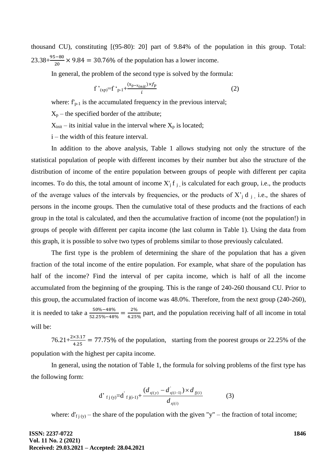thousand CU), constituting [(95-80): 20] part of 9.84% of the population in this group. Total:  $23.38 + \frac{95-80}{20} \times 9.84 = 30.76\%$  of the population has a lower income.

In general, the problem of the second type is solved by the formula:

$$
f'_{(xp)} = f'_{p-1} + \frac{(x_{p-x_{init}}) \times f_p}{i}
$$
 (2)

where:  $f_{p-1}$  is the accumulated frequency in the previous interval;

 $X_p$  – the specified border of the attribute;

 $X_{init}$  – its initial value in the interval where  $X_p$  is located;

i – the width of this feature interval.

In addition to the above analysis, Table 1 allows studying not only the structure of the statistical population of people with different incomes by their number but also the structure of the distribution of income of the entire population between groups of people with different per capita incomes. To do this, the total amount of income  $X_i$  f  $_i$  is calculated for each group, i.e., the products of the average values of the intervals by frequencies, or the products of  $X_i$  d  $_i$ , i.e., the shares of persons in the income groups. Then the cumulative total of these products and the fractions of each group in the total is calculated, and then the accumulative fraction of income (not the population!) in groups of people with different per capita income (the last column in Table 1). Using the data from this graph, it is possible to solve two types of problems similar to those previously calculated.

The first type is the problem of determining the share of the population that has a given fraction of the total income of the entire population. For example, what share of the population has half of the income? Find the interval of per capita income, which is half of all the income accumulated from the beginning of the grouping. This is the range of 240-260 thousand CU. Prior to this group, the accumulated fraction of income was 48.0%. Therefore, from the next group (240-260), it is needed to take a  $\frac{50\% - 48\%}{52.25\% - 48\%} = \frac{2}{4.2}$  $\frac{2\%}{4.25\%}$  part, and the population receiving half of all income in total will be:

 $76.21+\frac{2\times3.17}{4.25}$  = 77.75% of the population, starting from the poorest groups or 22.25% of the population with the highest per capita income.

In general, using the notation of Table 1, the formula for solving problems of the first type has the following form:

d' 
$$
f_j(y)=d' f_j(i-1)+\frac{(d_{x^j(y)}-d_{x^j(i-1)}) \times d_{f_j(i)}}{d_{x^j(i)}}
$$
 (3)

where:  $d'_{f_j(y)}$  – the share of the population with the given "y" – the fraction of total income;

**ISSN: 2237-0722 Vol. 11 No. 2 (2021) Received: 29.03.2021 – Accepted: 28.04.2021** **1846**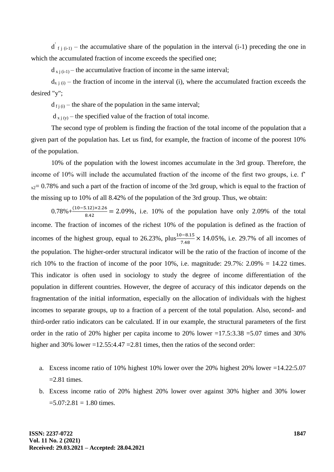$d'_{f_j(i-1)}$  – the accumulative share of the population in the interval (i-1) preceding the one in which the accumulated fraction of income exceeds the specified one;

 $d_{x}$  j(i-1) – the accumulative fraction of income in the same interval;

 $d_{x}$  j (i) – the fraction of income in the interval (i), where the accumulated fraction exceeds the desired "y";

 $d_{f(i)}$  – the share of the population in the same interval;

 $d_{x_i(y)}$  – the specified value of the fraction of total income.

The second type of problem is finding the fraction of the total income of the population that a given part of the population has. Let us find, for example, the fraction of income of the poorest 10% of the population.

10% of the population with the lowest incomes accumulate in the 3rd group. Therefore, the income of 10% will include the accumulated fraction of the income of the first two groups, i.e.  $f'$  $_{x2}= 0.78\%$  and such a part of the fraction of income of the 3rd group, which is equal to the fraction of the missing up to 10% of all 8.42% of the population of the 3rd group. Thus, we obtain:

 $0.78\% + \frac{(10-5.12)\times 2.26}{8.42} = 2.09\%$ , i.e. 10% of the population have only 2.09% of the total income. The fraction of incomes of the richest 10% of the population is defined as the fraction of incomes of the highest group, equal to 26.23%, plus $\frac{10-8.15}{7.48} \times 14.05\%$ , i.e. 29.7% of all incomes of the population. The higher-order structural indicator will be the ratio of the fraction of income of the rich 10% to the fraction of income of the poor 10%, i.e. magnitude:  $29.7\%$ :  $2.09\% = 14.22$  times. This indicator is often used in sociology to study the degree of income differentiation of the population in different countries. However, the degree of accuracy of this indicator depends on the fragmentation of the initial information, especially on the allocation of individuals with the highest incomes to separate groups, up to a fraction of a percent of the total population. Also, second- and third-order ratio indicators can be calculated. If in our example, the structural parameters of the first order in the ratio of 20% higher per capita income to 20% lower =17.5:3.38 =5.07 times and 30% higher and 30% lower =12.55:4.47 =  $2.81$  times, then the ratios of the second order:

- a. Excess income ratio of 10% highest 10% lower over the 20% highest 20% lower =14.22:5.07  $=2.81$  times.
- b. Excess income ratio of 20% highest 20% lower over against 30% higher and 30% lower  $=5.07:2.81 = 1.80$  times.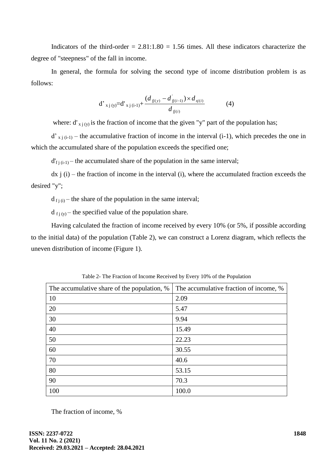Indicators of the third-order  $= 2.81:1.80 = 1.56$  times. All these indicators characterize the degree of "steepness" of the fall in income.

In general, the formula for solving the second type of income distribution problem is as follows:

$$
d'_{x j (y)} = d'_{x j (i-1)} + \frac{(d_{f j(y)} - d'_{f j(i-1)}) \times d_{x j(i)}}{d_{f j(i)}} \tag{4}
$$

where:  $d'_{x}$  is the fraction of income that the given "y" part of the population has;

 $d'_{x}$  i<sub>(i-1)</sub> – the accumulative fraction of income in the interval (i-1), which precedes the one in which the accumulated share of the population exceeds the specified one;

 $d'_{f}$  (i-1) – the accumulated share of the population in the same interval;

 $dx$  j (i) – the fraction of income in the interval (i), where the accumulated fraction exceeds the desired "y";

 $d_{fi(i)}$  – the share of the population in the same interval;

 $d_{f_1(y)}$  – the specified value of the population share.

Having calculated the fraction of income received by every 10% (or 5%, if possible according to the initial data) of the population (Table 2), we can construct a Lorenz diagram, which reflects the uneven distribution of income (Figure 1).

| The accumulative share of the population, % | The accumulative fraction of income, % |  |  |  |
|---------------------------------------------|----------------------------------------|--|--|--|
| 10                                          | 2.09                                   |  |  |  |
| 20                                          | 5.47                                   |  |  |  |
| 30                                          | 9.94                                   |  |  |  |
| 40                                          | 15.49                                  |  |  |  |
| 50                                          | 22.23                                  |  |  |  |
| 60                                          | 30.55                                  |  |  |  |
| 70                                          | 40.6                                   |  |  |  |
| 80                                          | 53.15                                  |  |  |  |
| 90                                          | 70.3                                   |  |  |  |
| 100                                         | 100.0                                  |  |  |  |

Table 2- The Fraction of Income Received by Every 10% of the Population

The fraction of income, %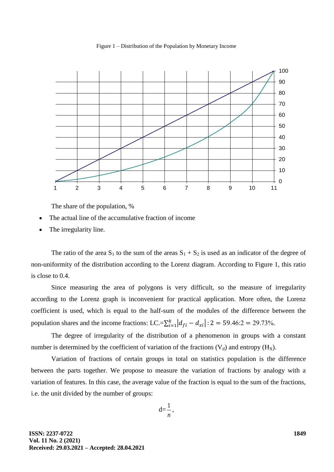Figure 1 – Distribution of the Population by Monetary Income



The share of the population, %

- The actual line of the accumulative fraction of income
- The irregularity line.

The ratio of the area  $S_1$  to the sum of the areas  $S_1 + S_2$  is used as an indicator of the degree of non-uniformity of the distribution according to the Lorenz diagram. According to Figure 1, this ratio is close to 0.4.

Since measuring the area of polygons is very difficult, so the measure of irregularity according to the Lorenz graph is inconvenient for practical application. More often, the Lorenz coefficient is used, which is equal to the half-sum of the modules of the difference between the population shares and the income fractions: LC.= $\sum_{i=1}^{k} |d_{fi} - d_{xi}|$ : 2 = 59.46:2 = 29.73%.

The degree of irregularity of the distribution of a phenomenon in groups with a constant number is determined by the coefficient of variation of the fractions  $(V_d)$  and entropy  $(H_X)$ .

Variation of fractions of certain groups in total on statistics population is the difference between the parts together. We propose to measure the variation of fractions by analogy with a variation of features. In this case, the average value of the fraction is equal to the sum of the fractions, i.e. the unit divided by the number of groups:

$$
d=\frac{1}{n},
$$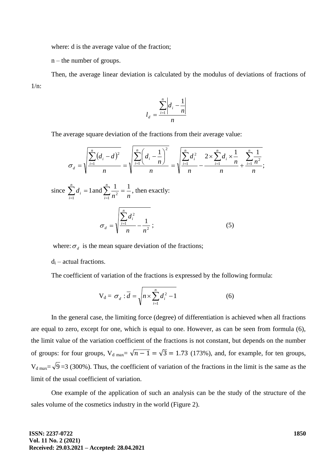where: d is the average value of the fraction;

n – the number of groups.

Then, the average linear deviation is calculated by the modulus of deviations of fractions of  $1/n$ :

$$
l_d = \frac{\sum_{i=1}^{n} \left| d_i - \frac{1}{n} \right|}{n}
$$

The average square deviation of the fractions from their average value:

$$
\sigma_d = \sqrt{\frac{\sum_{i=1}^{n} (d_i - d)^2}{n}} = \sqrt{\frac{\sum_{i=1}^{n} (d_i - \frac{1}{n})^2}{n}} = \sqrt{\frac{\sum_{i=1}^{n} d_i^2}{n}} - \frac{2 \times \sum_{i=1}^{n} d_i \times \frac{1}{n}}{n} + \frac{\sum_{i=1}^{n} \frac{1}{n^2}}{n}}{n};
$$
  
since  $\sum_{i=1}^{n} d_i = 1$  and  $\sum_{i=1}^{n} \frac{1}{n^2} = \frac{1}{n}$ , then exactly:  

$$
\sigma_d = \sqrt{\frac{\sum_{i=1}^{n} d_i^2}{n} - \frac{1}{n^2}};
$$
(5)

where:  $\sigma_d$  is the mean square deviation of the fractions;

 $d_i$  – actual fractions.

The coefficient of variation of the fractions is expressed by the following formula:

$$
V_d = \sigma_d : \overline{d} = \sqrt{n \times \sum_{i=1}^n d_i^2 - 1}
$$
 (6)

In the general case, the limiting force (degree) of differentiation is achieved when all fractions are equal to zero, except for one, which is equal to one. However, as can be seen from formula (6), the limit value of the variation coefficient of the fractions is not constant, but depends on the number of groups: for four groups,  $V_{d \text{ max}} = \sqrt{n-1} = \sqrt{3} = 1.73$  (173%), and, for example, for ten groups,  $V_{d \text{ max}} = \sqrt{9} = 3$  (300%). Thus, the coefficient of variation of the fractions in the limit is the same as the limit of the usual coefficient of variation.

One example of the application of such an analysis can be the study of the structure of the sales volume of the cosmetics industry in the world (Figure 2).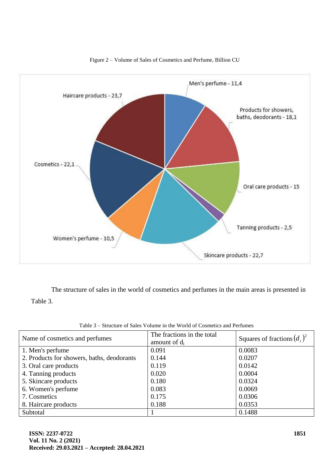

#### Figure 2 – Volume of Sales of Cosmetics and Perfume, Billion CU

The structure of sales in the world of cosmetics and perfumes in the main areas is presented in Table 3.

| Name of cosmetics and perfumes             | The fractions in the total<br>amount of $d_i$ | Squares of fractions $(d_i)^2$ |  |
|--------------------------------------------|-----------------------------------------------|--------------------------------|--|
| 1. Men's perfume                           | 0.091                                         | 0.0083                         |  |
| 2. Products for showers, baths, deodorants | 0.144                                         | 0.0207                         |  |
| 3. Oral care products                      | 0.119                                         | 0.0142                         |  |
| 4. Tanning products                        | 0.020                                         | 0.0004                         |  |
| 5. Skincare products                       | 0.180                                         | 0.0324                         |  |
| 6. Women's perfume                         | 0.083                                         | 0.0069                         |  |
| 7. Cosmetics                               | 0.175                                         | 0.0306                         |  |
| 8. Haircare products                       | 0.188                                         | 0.0353                         |  |
| Subtotal                                   |                                               | 0.1488                         |  |

Table 3 – Structure of Sales Volume in the World of Cosmetics and Perfumes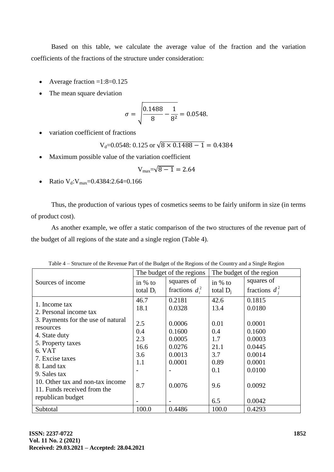Based on this table, we calculate the average value of the fraction and the variation coefficients of the fractions of the structure under consideration:

- Average fraction  $=1:8=0.125$
- The mean square deviation

$$
\sigma = \sqrt{\frac{0.1488}{8} - \frac{1}{8^2}} = 0.0548.
$$

variation coefficient of fractions

$$
V_d = 0.0548
$$
: 0.125 or  $\sqrt{8 \times 0.1488 - 1} = 0.4384$ 

Maximum possible value of the variation coefficient

$$
V_{\text{max}} = \sqrt{8-1} = 2.64
$$

• Ratio  $V_d$ :  $V_{max} = 0.4384$ : 2.64= 0.166

Thus, the production of various types of cosmetics seems to be fairly uniform in size (in terms of product cost).

As another example, we offer a static comparison of the two structures of the revenue part of the budget of all regions of the state and a single region (Table 4).

|                                    | The budget of the region<br>The budget of the regions |                   |             |                   |
|------------------------------------|-------------------------------------------------------|-------------------|-------------|-------------------|
| Sources of income                  | in $%$ to                                             | squares of        | in $%$ to   | squares of        |
|                                    | total $D_i$                                           | fractions $d_i^2$ | total $D_i$ | fractions $d_i^2$ |
| 1. Income tax                      | 46.7                                                  | 0.2181            | 42.6        | 0.1815            |
| 2. Personal income tax             | 18.1                                                  | 0.0328            | 13.4        | 0.0180            |
| 3. Payments for the use of natural |                                                       |                   |             |                   |
| resources                          | 2.5                                                   | 0.0006            | 0.01        | 0.0001            |
| 4. State duty                      | 0.4                                                   | 0.1600            | 0.4         | 0.1600            |
| 5. Property taxes                  | 2.3                                                   | 0.0005            | 1.7         | 0.0003            |
| 6. VAT                             | 16.6                                                  | 0.0276            | 21.1        | 0.0445            |
| 7. Excise taxes                    | 3.6                                                   | 0.0013            | 3.7         | 0.0014            |
| 8. Land tax                        | 1.1                                                   | 0.0001            | 0.89        | 0.0001            |
| 9. Sales tax                       |                                                       |                   | 0.1         | 0.0100            |
| 10. Other tax and non-tax income   | 8.7                                                   | 0.0076            | 9.6         | 0.0092            |
| 11. Funds received from the        |                                                       |                   |             |                   |
| republican budget                  |                                                       |                   | 6.5         | 0.0042            |
| Subtotal                           | 100.0                                                 | 0.4486            | 100.0       | 0.4293            |

Table 4 – Structure of the Revenue Part of the Budget of the Regions of the Country and a Single Region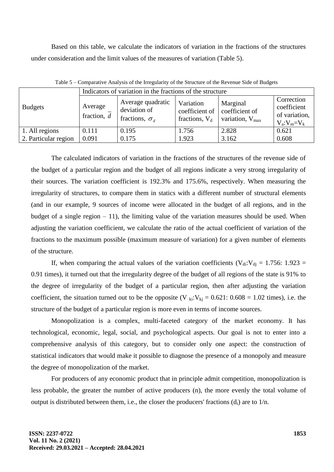Based on this table, we calculate the indicators of variation in the fractions of the structures under consideration and the limit values of the measures of variation (Table 5).

|                      | Indicators of variation in the fractions of the structure |                                                              |                                                 |                                                           |                                                             |  |  |
|----------------------|-----------------------------------------------------------|--------------------------------------------------------------|-------------------------------------------------|-----------------------------------------------------------|-------------------------------------------------------------|--|--|
| <b>Budgets</b>       | Average<br>fraction, $d$                                  | Average quadratic<br>deviation of<br>fractions, $\sigma_{d}$ | Variation<br>coefficient of<br>fractions, $V_d$ | Marginal<br>coefficient of<br>variation, $V_{\text{max}}$ | Correction<br>coefficient<br>of variation,<br>$V_a:V_m=V_k$ |  |  |
| 1. All regions       | 0.111                                                     | 0.195                                                        | 1.756                                           | 2.828                                                     | 0.621                                                       |  |  |
| 2. Particular region | 0.091                                                     | 0.175                                                        | 1.923                                           | 3.162                                                     | 0.608                                                       |  |  |

Table 5 – Comparative Analysis of the Irregularity of the Structure of the Revenue Side of Budgets

The calculated indicators of variation in the fractions of the structures of the revenue side of the budget of a particular region and the budget of all regions indicate a very strong irregularity of their sources. The variation coefficient is 192.3% and 175.6%, respectively. When measuring the irregularity of structures, to compare them in statics with a different number of structural elements (and in our example, 9 sources of income were allocated in the budget of all regions, and in the budget of a single region  $-11$ ), the limiting value of the variation measures should be used. When adjusting the variation coefficient, we calculate the ratio of the actual coefficient of variation of the fractions to the maximum possible (maximum measure of variation) for a given number of elements of the structure.

If, when comparing the actual values of the variation coefficients ( $V_{di}:V_{di} = 1.756: 1.923 =$ 0.91 times), it turned out that the irregularity degree of the budget of all regions of the state is 91% to the degree of irregularity of the budget of a particular region, then after adjusting the variation coefficient, the situation turned out to be the opposite (V  $_{ki}:V_{kj} = 0.621: 0.608 = 1.02$  times), i.e. the structure of the budget of a particular region is more even in terms of income sources.

Monopolization is a complex, multi-faceted category of the market economy. It has technological, economic, legal, social, and psychological aspects. Our goal is not to enter into a comprehensive analysis of this category, but to consider only one aspect: the construction of statistical indicators that would make it possible to diagnose the presence of a monopoly and measure the degree of monopolization of the market.

For producers of any economic product that in principle admit competition, monopolization is less probable, the greater the number of active producers (n), the more evenly the total volume of output is distributed between them, i.e., the closer the producers' fractions  $(d_i)$  are to  $1/n$ .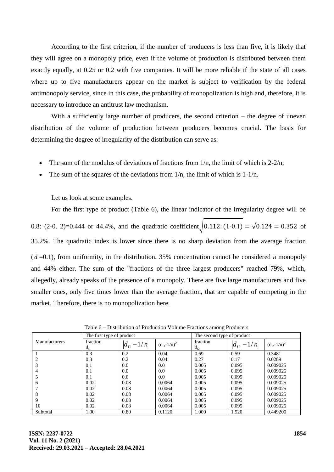According to the first criterion, if the number of producers is less than five, it is likely that they will agree on a monopoly price, even if the volume of production is distributed between them exactly equally, at 0.25 or 0.2 with five companies. It will be more reliable if the state of all cases where up to five manufacturers appear on the market is subject to verification by the federal antimonopoly service, since in this case, the probability of monopolization is high and, therefore, it is necessary to introduce an antitrust law mechanism.

With a sufficiently large number of producers, the second criterion – the degree of uneven distribution of the volume of production between producers becomes crucial. The basis for determining the degree of irregularity of the distribution can serve as:

- The sum of the modulus of deviations of fractions from  $1/n$ , the limit of which is  $2-2/n$ ;
- The sum of the squares of the deviations from  $1/n$ , the limit of which is  $1-1/n$ .

Let us look at some examples.

For the first type of product (Table 6), the linear indicator of the irregularity degree will be 0.8: (2-0. 2)=0.444 or 44.4%, and the quadratic coefficient $\sqrt{0.112:(1-0.1)} = \sqrt{0.124} = 0.352$  of 35.2%. The quadratic index is lower since there is no sharp deviation from the average fraction  $(\bar{d} = 0.1)$ , from uniformity, in the distribution. 35% concentration cannot be considered a monopoly and 44% either. The sum of the "fractions of the three largest producers" reached 79%, which, allegedly, already speaks of the presence of a monopoly. There are five large manufacturers and five smaller ones, only five times lower than the average fraction, that are capable of competing in the market. Therefore, there is no monopolization here.

|                      | The first type of product |                  |                  | The second type of product |                      |                  |  |
|----------------------|---------------------------|------------------|------------------|----------------------------|----------------------|------------------|--|
| <b>Manufacturers</b> | fraction<br>$d_{i1}$      | $ d_{i1} - 1/n $ | $(d_{i1}-1/n)^2$ | fraction<br>$d_{i2}$       | $ d_{i2} $<br>$-1/n$ | $(d_{i2}-1/n)^2$ |  |
|                      | 0.3                       | 0.2              | 0.04             | 0.69                       | 0.59                 | 0.3481           |  |
|                      | 0.3                       | 0.2              | 0.04             | 0.27                       | 0.17                 | 0.0289           |  |
|                      | 0.1                       | 0.0              | 0.0              | 0.005                      | 0.095                | 0.009025         |  |
| 4                    | 0.1                       | 0.0              | 0.0              | 0.005                      | 0.095                | 0.009025         |  |
|                      | 0.1                       | 0.0              | 0.0              | 0.005                      | 0.095                | 0.009025         |  |
| 6                    | 0.02                      | 0.08             | 0.0064           | 0.005                      | 0.095                | 0.009025         |  |
|                      | 0.02                      | 0.08             | 0.0064           | 0.005                      | 0.095                | 0.009025         |  |
| 8                    | 0.02                      | 0.08             | 0.0064           | 0.005                      | 0.095                | 0.009025         |  |
| 9                    | 0.02                      | 0.08             | 0.0064           | 0.005                      | 0.095                | 0.009025         |  |
| 10                   | 0.02                      | 0.08             | 0.0064           | 0.005                      | 0.095                | 0.009025         |  |
| Subtotal             | 1.00                      | 0.80             | 0.1120           | 1.000                      | 1.520                | 0.449200         |  |

Table 6 – Distribution of Production Volume Fractions among Producers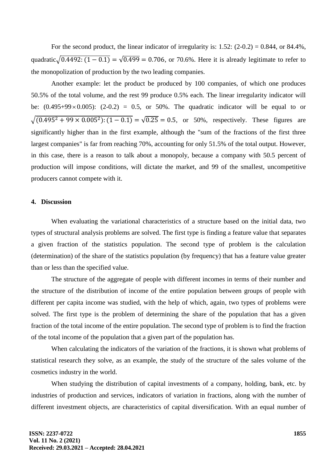For the second product, the linear indicator of irregularity is:  $1.52$ :  $(2-0.2) = 0.844$ , or  $84.4\%$ , quadratic√ $\sqrt{0.4492$ :  $(1 - 0.1) = \sqrt{0.499} = 0.706$ , or 70.6%. Here it is already legitimate to refer to the monopolization of production by the two leading companies.

Another example: let the product be produced by 100 companies, of which one produces 50.5% of the total volume, and the rest 99 produce 0.5% each. The linear irregularity indicator will be:  $(0.495+99\times0.005)$ :  $(2-0.2) = 0.5$ , or 50%. The quadratic indicator will be equal to or  $\sqrt{(0.495^2 + 99 \times 0.005^2) \cdot (1 - 0.1)} = \sqrt{0.25} = 0.5$ , or 50%, respectively. These figures are significantly higher than in the first example, although the "sum of the fractions of the first three largest companies" is far from reaching 70%, accounting for only 51.5% of the total output. However, in this case, there is a reason to talk about a monopoly, because a company with 50.5 percent of production will impose conditions, will dictate the market, and 99 of the smallest, uncompetitive producers cannot compete with it.

## **4. Discussion**

When evaluating the variational characteristics of a structure based on the initial data, two types of structural analysis problems are solved. The first type is finding a feature value that separates a given fraction of the statistics population. The second type of problem is the calculation (determination) of the share of the statistics population (by frequency) that has a feature value greater than or less than the specified value.

The structure of the aggregate of people with different incomes in terms of their number and the structure of the distribution of income of the entire population between groups of people with different per capita income was studied, with the help of which, again, two types of problems were solved. The first type is the problem of determining the share of the population that has a given fraction of the total income of the entire population. The second type of problem is to find the fraction of the total income of the population that a given part of the population has.

When calculating the indicators of the variation of the fractions, it is shown what problems of statistical research they solve, as an example, the study of the structure of the sales volume of the cosmetics industry in the world.

When studying the distribution of capital investments of a company, holding, bank, etc. by industries of production and services, indicators of variation in fractions, along with the number of different investment objects, are characteristics of capital diversification. With an equal number of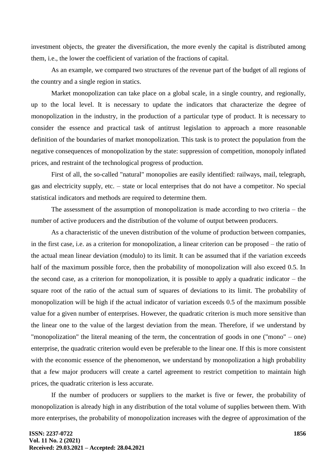investment objects, the greater the diversification, the more evenly the capital is distributed among them, i.e., the lower the coefficient of variation of the fractions of capital.

As an example, we compared two structures of the revenue part of the budget of all regions of the country and a single region in statics.

Market monopolization can take place on a global scale, in a single country, and regionally, up to the local level. It is necessary to update the indicators that characterize the degree of monopolization in the industry, in the production of a particular type of product. It is necessary to consider the essence and practical task of antitrust legislation to approach a more reasonable definition of the boundaries of market monopolization. This task is to protect the population from the negative consequences of monopolization by the state: suppression of competition, monopoly inflated prices, and restraint of the technological progress of production.

First of all, the so-called "natural" monopolies are easily identified: railways, mail, telegraph, gas and electricity supply, etc. – state or local enterprises that do not have a competitor. No special statistical indicators and methods are required to determine them.

The assessment of the assumption of monopolization is made according to two criteria – the number of active producers and the distribution of the volume of output between producers.

As a characteristic of the uneven distribution of the volume of production between companies, in the first case, i.e. as a criterion for monopolization, a linear criterion can be proposed – the ratio of the actual mean linear deviation (modulo) to its limit. It can be assumed that if the variation exceeds half of the maximum possible force, then the probability of monopolization will also exceed 0.5. In the second case, as a criterion for monopolization, it is possible to apply a quadratic indicator – the square root of the ratio of the actual sum of squares of deviations to its limit. The probability of monopolization will be high if the actual indicator of variation exceeds 0.5 of the maximum possible value for a given number of enterprises. However, the quadratic criterion is much more sensitive than the linear one to the value of the largest deviation from the mean. Therefore, if we understand by "monopolization" the literal meaning of the term, the concentration of goods in one ("mono" – one) enterprise, the quadratic criterion would even be preferable to the linear one. If this is more consistent with the economic essence of the phenomenon, we understand by monopolization a high probability that a few major producers will create a cartel agreement to restrict competition to maintain high prices, the quadratic criterion is less accurate.

If the number of producers or suppliers to the market is five or fewer, the probability of monopolization is already high in any distribution of the total volume of supplies between them. With more enterprises, the probability of monopolization increases with the degree of approximation of the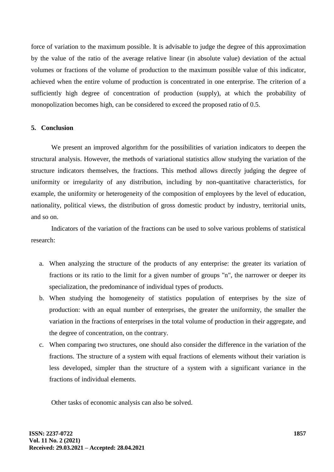force of variation to the maximum possible. It is advisable to judge the degree of this approximation by the value of the ratio of the average relative linear (in absolute value) deviation of the actual volumes or fractions of the volume of production to the maximum possible value of this indicator, achieved when the entire volume of production is concentrated in one enterprise. The criterion of a sufficiently high degree of concentration of production (supply), at which the probability of monopolization becomes high, can be considered to exceed the proposed ratio of 0.5.

## **5. Conclusion**

We present an improved algorithm for the possibilities of variation indicators to deepen the structural analysis. However, the methods of variational statistics allow studying the variation of the structure indicators themselves, the fractions. This method allows directly judging the degree of uniformity or irregularity of any distribution, including by non-quantitative characteristics, for example, the uniformity or heterogeneity of the composition of employees by the level of education, nationality, political views, the distribution of gross domestic product by industry, territorial units, and so on.

Indicators of the variation of the fractions can be used to solve various problems of statistical research:

- a. When analyzing the structure of the products of any enterprise: the greater its variation of fractions or its ratio to the limit for a given number of groups "n", the narrower or deeper its specialization, the predominance of individual types of products.
- b. When studying the homogeneity of statistics population of enterprises by the size of production: with an equal number of enterprises, the greater the uniformity, the smaller the variation in the fractions of enterprises in the total volume of production in their aggregate, and the degree of concentration, on the contrary.
- c. When comparing two structures, one should also consider the difference in the variation of the fractions. The structure of a system with equal fractions of elements without their variation is less developed, simpler than the structure of a system with a significant variance in the fractions of individual elements.

Other tasks of economic analysis can also be solved.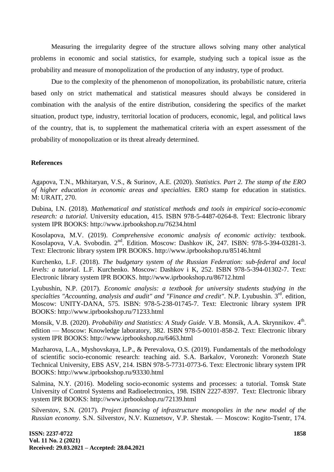Measuring the irregularity degree of the structure allows solving many other analytical problems in economic and social statistics, for example, studying such a topical issue as the probability and measure of monopolization of the production of any industry, type of product.

Due to the complexity of the phenomenon of monopolization, its probabilistic nature, criteria based only on strict mathematical and statistical measures should always be considered in combination with the analysis of the entire distribution, considering the specifics of the market situation, product type, industry, territorial location of producers, economic, legal, and political laws of the country, that is, to supplement the mathematical criteria with an expert assessment of the probability of monopolization or its threat already determined.

## **References**

Agapova, T.N., Mkhitaryan, V.S., & Surinov, A.E. (2020). *Statistics. Part 2. The stamp of the ERO of higher education in economic areas and specialties.* ERO stamp for education in statistics. M: URAIT, 270.

Dubina, I.N. (2018). *Mathematical and statistical methods and tools in empirical socio-economic research: a tutorial.* University education, 415. ISBN 978-5-4487-0264-8. Text: Electronic library system IPR BOOKS: http://www.iprbookshop.ru/76234.html

Kosolapova, M.V. (2019). *Comprehensive economic analysis of economic activity:* textbook. Kosolapova, V.A. Svobodin. 2<sup>nd</sup>. Edition. Moscow: Dashkov iK, 247. ISBN: 978-5-394-03281-3. Text: Electronic library system IPR BOOKS. http://www.iprbookshop.ru/85146.html

Kurchenko, L.F. (2018). *The budgetary system of the Russian Federation: sub-federal and local levels: a tutorial.* L.F. Kurchenko. Moscow: Dashkov i K, 252. ISBN 978-5-394-01302-7. Text: Electronic library system IPR BOOKS. http://www.iprbookshop.ru/86712.html

Lyubushin, N.P. (2017). *Economic analysis: a textbook for university students studying in the*  specialties "Accounting, analysis and audit" and "Finance and credit". N.P. Lyubushin. 3<sup>rd</sup>. edition, Moscow: UNITY-DANA, 575. ISBN: 978-5-238-01745-7. Text: Electronic library system IPR BOOKS: http://www.iprbookshop.ru/71233.html

Monsik, V.B. (2020). *Probability and Statistics: A Study Guide*. V.B. Monsik, A.A. Skrynnikov. 4<sup>th</sup>. edition — Moscow: Knowledge laboratory, 382. ISBN 978-5-00101-858-2. Text: Electronic library system IPR BOOKS: http://www.iprbookshop.ru/6463.html

Mazharova, L.A., Myshovskaya, L.P., & Perevalova, O.S. (2019). Fundamentals of the methodology of scientific socio-economic research: teaching aid. S.A. Barkalov, Voronezh: Voronezh State Technical University, EBS ASV, 214. ISBN 978-5-7731-0773-6. Text: Electronic library system IPR BOOKS: http://www.iprbookshop.ru/93330.html

Salmina, N.Y. (2016). Modeling socio-economic systems and processes: a tutorial. Tomsk State University of Control Systems and Radioelectronics, 198. ISBN 2227-8397. Text: Electronic library system IPR BOOKS: http://www.iprbookshop.ru/72139.html

Silverstov, S.N. (2017). *Project financing of infrastructure monopolies in the new model of the Russian economy.* S.N. Silverstov, N.V. Kuznetsov, V.P. Shestak. — Moscow: Kogito-Tsentr, 174.